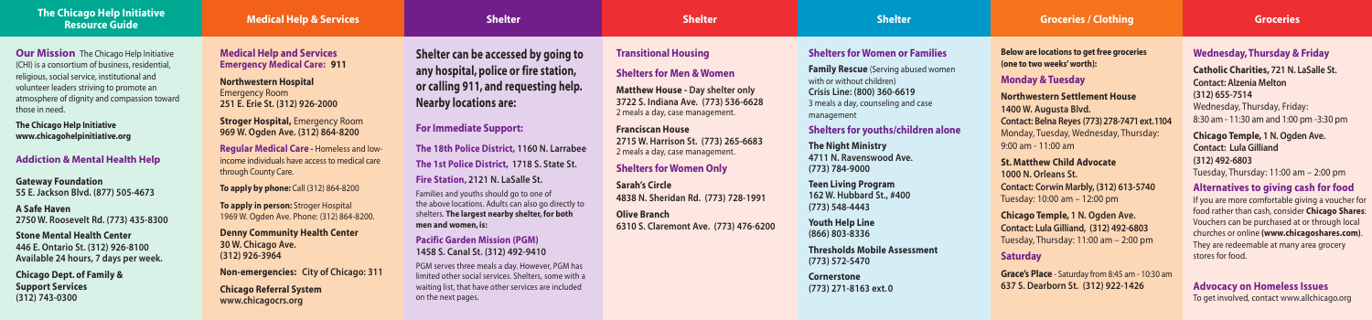# **Shelters for Women or Families**

**Family Rescue** (Serving abused women with or without children) **Crisis Line: (800) 360-6619** 3 meals a day, counseling and case management

# **Shelters for youths/children alone**

**The Night Ministry 4711 N. Ravenswood Ave. (773) 784-9000**

**Teen Living Program 162 W. Hubbard St., #400 (773) 548-4443**

**Youth Help Line (866) 803-8336**

**Thresholds Mobile Assessment (773) 572-5470**

**Cornerstone (773) 271-8163 ext. 0** 

### **The Chicago Help Initiative Resource Guide Medical Help & Services**

### **Medical Help and Services Emergency Medical Care: 911**

**Northwestern Hospital** Emergency Room **251 E. Erie St. (312) 926-2000**

**Stroger Hospital,** Emergency Room **969 W. Ogden Ave. (312) 864-8200**

**Regular Medical Care -** Homeless and lowincome individuals have access to medical care through County Care.

**To apply by phone: Call (312) 864-8200** 

**To apply in person:** Stroger Hospital 1969 W. Ogden Ave. Phone: (312) 864-8200.

**Denny Community Health Center 30 W. Chicago Ave. (312) 926-3964**

**Non-emergencies: City of Chicago: 311 Chicago Referral System www.chicagocrs.org**

# **Shelter**

**Shelter can be accessed by going to any hospital, police or fire station, or calling 911, and requesting help. Nearby locations are:**

#### **For Immediate Support:**

**The 18th Police District, 1160 N. Larrabee The 1st Police District, 1718 S. State St. Fire Station, 2121 N. LaSalle St.**

Families and youths should go to one of the above locations. Adults can also go directly to shelters. **The largest nearby shelter, for both men and women, is:**

#### **Pacific Garden Mission (PGM) 1458 S. Canal St. (312) 492-9410**

PGM serves three meals a day. However, PGM has limited other social services. Shelters, some with a waiting list, that have other services are included on the next pages.

#### **Shelter**

# **Transitional Housing**

### **Shelters for Men & Women**

**Our Mission** The Chicago Help Initiative (CHI) is a consortium of business, residential, religious, social service, institutional and volunteer leaders striving to promote an atmosphere of dignity and compassion toward those in need.

**Matthew House - Day shelter only 3722 S. Indiana Ave. (773) 536-6628** 2 meals a day, case management.

# **Franciscan House**

**2715 W. Harrison St. (773) 265-6683** 2 meals a day, case management.

### **Shelters for Women Only**

**Sarah's Circle 4838 N. Sheridan Rd. (773) 728-1991**

**Olive Branch 6310 S. Claremont Ave. (773) 476-6200**

# **Wednesday, Thursday & Friday**

**Catholic Charities, 721 N. LaSalle St. Contact: Alzenia Melton (312) 655-7514** Wednesday, Thursday, Friday: 8:30 am - 11:30 am and 1:00 pm -3:30 pm

**Chicago Temple, 1 N. Ogden Ave. Contact: Lula Gilliand (312) 492-6803** Tuesday, Thursday: 11:00 am – 2:00 pm

# **Alternatives to giving cash for food**

### **Shelter Groceries Groceries / Clothing**

If you are more comfortable giving a voucher for food rather than cash, consider **Chicago Shares**: Vouchers can be purchased at or through local churches or online **(www.chicagoshares.com)**. They are redeemable at many area grocery stores for food.

### **Advocacy on Homeless Issues**

To get involved, contact www.allchicago.org

**Below are locations to get free groceries (one to two weeks' worth):**

# **Monday & Tuesday**

**Northwestern Settlement House 1400 W. Augusta Blvd. Contact: Belna Reyes (773) 278-7471 ext. 1104** Monday, Tuesday, Wednesday, Thursday: 9:00 am - 11:00 am

**St. Matthew Child Advocate 1000 N. Orleans St. Contact: Corwin Marbly, (312) 613-5740** Tuesday: 10:00 am – 12:00 pm

**Chicago Temple, 1 N. Ogden Ave. Contact: Lula Gilliand, (312) 492-6803** Tuesday, Thursday: 11:00 am – 2:00 pm

#### **Saturday**

**Grace's Place** - Saturday from 8:45 am - 10:30 am **637 S. Dearborn St. (312) 922-1426**

**The Chicago Help Initiative www.chicagohelpinitiative.org**

**Addiction & Mental Health Help**

**Gateway Foundation 55 E. Jackson Blvd. (877) 505-4673**

**A Safe Haven 2750 W. Roosevelt Rd. (773) 435-8300**

**Stone Mental Health Center 446 E. Ontario St. (312) 926-8100 Available 24 hours, 7 days per week.**

**Chicago Dept. of Family & Support Services (312) 743-0300**